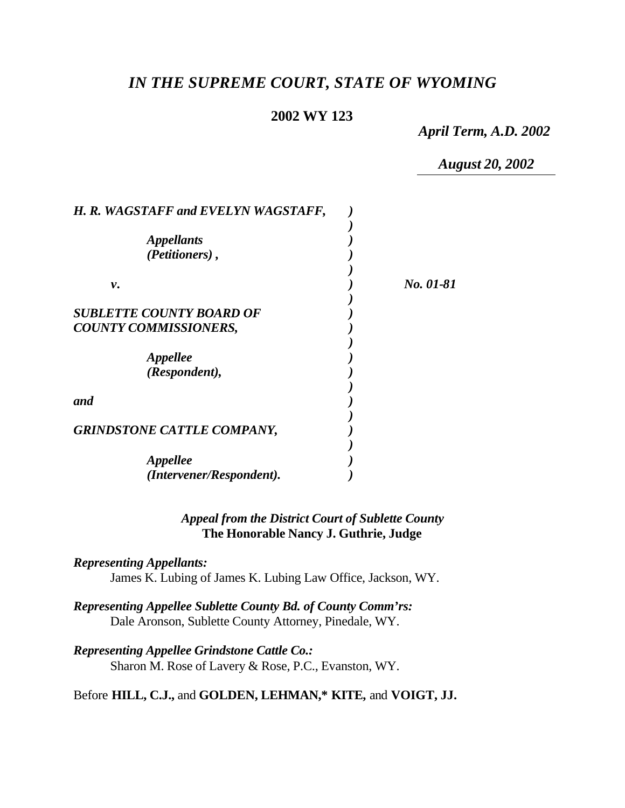# *IN THE SUPREME COURT, STATE OF WYOMING*

# **2002 WY 123**

*April Term, A.D. 2002*

*August 20, 2002*

| H. R. WAGSTAFF and EVELYN WAGSTAFF,                             |           |
|-----------------------------------------------------------------|-----------|
| <i><b>Appellants</b></i><br>(Petitioners),                      |           |
| ν.                                                              | No. 01-81 |
| <b>SUBLETTE COUNTY BOARD OF</b><br><b>COUNTY COMMISSIONERS,</b> |           |
| <i><b>Appellee</b></i><br>(Respondent),                         |           |
| and                                                             |           |
| <b>GRINDSTONE CATTLE COMPANY,</b>                               |           |
| <i><b>Appellee</b></i><br>(Intervener/Respondent).              |           |

# *Appeal from the District Court of Sublette County* **The Honorable Nancy J. Guthrie, Judge**

*Representing Appellants:* James K. Lubing of James K. Lubing Law Office, Jackson, WY.

*Representing Appellee Sublette County Bd. of County Comm'rs:* Dale Aronson, Sublette County Attorney, Pinedale, WY.

*Representing Appellee Grindstone Cattle Co.:* Sharon M. Rose of Lavery & Rose, P.C., Evanston, WY.

Before **HILL, C.J.,** and **GOLDEN, LEHMAN,\* KITE,** and **VOIGT, JJ.**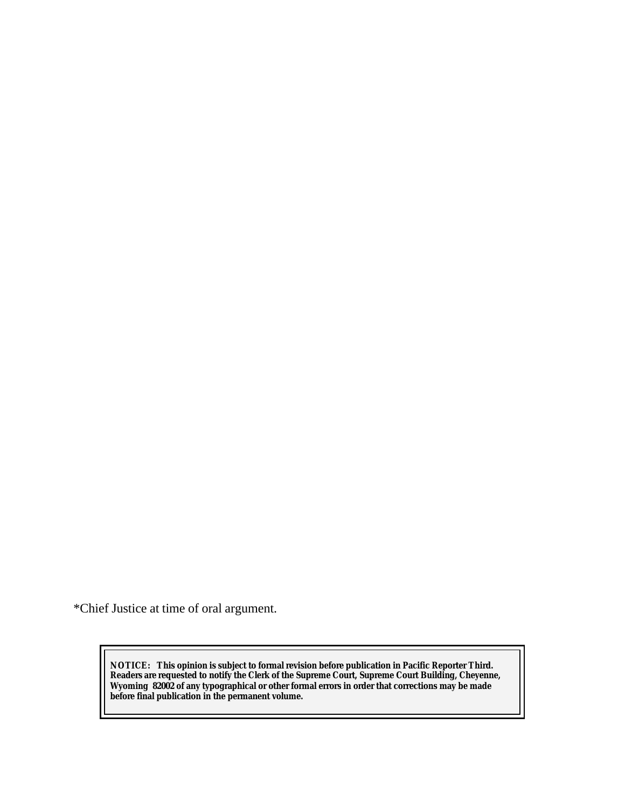\*Chief Justice at time of oral argument.

**NOTICE:** *This opinion is subject to formal revision before publication in Pacific Reporter Third. Readers are requested to notify the Clerk of the Supreme Court, Supreme Court Building, Cheyenne, Wyoming 82002 of any typographical or other formal errors in order that corrections may be made before final publication in the permanent volume.*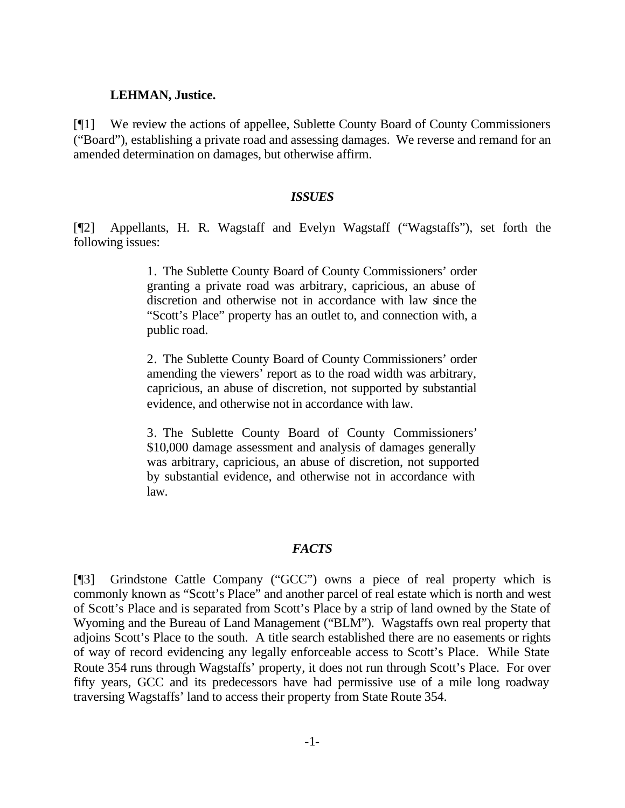#### **LEHMAN, Justice.**

[¶1] We review the actions of appellee, Sublette County Board of County Commissioners ("Board"), establishing a private road and assessing damages. We reverse and remand for an amended determination on damages, but otherwise affirm.

#### *ISSUES*

[¶2] Appellants, H. R. Wagstaff and Evelyn Wagstaff ("Wagstaffs"), set forth the following issues:

> 1. The Sublette County Board of County Commissioners' order granting a private road was arbitrary, capricious, an abuse of discretion and otherwise not in accordance with law since the "Scott's Place" property has an outlet to, and connection with, a public road.

> 2. The Sublette County Board of County Commissioners' order amending the viewers' report as to the road width was arbitrary, capricious, an abuse of discretion, not supported by substantial evidence, and otherwise not in accordance with law.

> 3. The Sublette County Board of County Commissioners' \$10,000 damage assessment and analysis of damages generally was arbitrary, capricious, an abuse of discretion, not supported by substantial evidence, and otherwise not in accordance with law.

#### *FACTS*

[¶3] Grindstone Cattle Company ("GCC") owns a piece of real property which is commonly known as "Scott's Place" and another parcel of real estate which is north and west of Scott's Place and is separated from Scott's Place by a strip of land owned by the State of Wyoming and the Bureau of Land Management ("BLM"). Wagstaffs own real property that adjoins Scott's Place to the south. A title search established there are no easements or rights of way of record evidencing any legally enforceable access to Scott's Place. While State Route 354 runs through Wagstaffs' property, it does not run through Scott's Place. For over fifty years, GCC and its predecessors have had permissive use of a mile long roadway traversing Wagstaffs' land to access their property from State Route 354.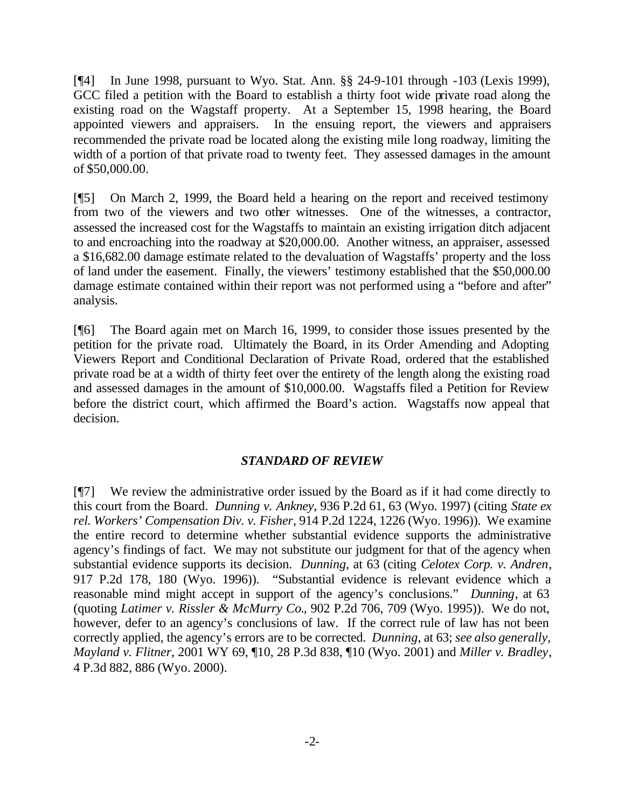[¶4] In June 1998, pursuant to Wyo. Stat. Ann. §§ 24-9-101 through -103 (Lexis 1999), GCC filed a petition with the Board to establish a thirty foot wide private road along the existing road on the Wagstaff property. At a September 15, 1998 hearing, the Board appointed viewers and appraisers. In the ensuing report, the viewers and appraisers recommended the private road be located along the existing mile long roadway, limiting the width of a portion of that private road to twenty feet. They assessed damages in the amount of \$50,000.00.

[¶5] On March 2, 1999, the Board held a hearing on the report and received testimony from two of the viewers and two other witnesses. One of the witnesses, a contractor, assessed the increased cost for the Wagstaffs to maintain an existing irrigation ditch adjacent to and encroaching into the roadway at \$20,000.00. Another witness, an appraiser, assessed a \$16,682.00 damage estimate related to the devaluation of Wagstaffs' property and the loss of land under the easement. Finally, the viewers' testimony established that the \$50,000.00 damage estimate contained within their report was not performed using a "before and after" analysis.

[¶6] The Board again met on March 16, 1999, to consider those issues presented by the petition for the private road. Ultimately the Board, in its Order Amending and Adopting Viewers Report and Conditional Declaration of Private Road, ordered that the established private road be at a width of thirty feet over the entirety of the length along the existing road and assessed damages in the amount of \$10,000.00. Wagstaffs filed a Petition for Review before the district court, which affirmed the Board's action. Wagstaffs now appeal that decision.

#### *STANDARD OF REVIEW*

[¶7] We review the administrative order issued by the Board as if it had come directly to this court from the Board. *Dunning v. Ankney*, 936 P.2d 61, 63 (Wyo. 1997) (citing *State ex rel. Workers' Compensation Div. v. Fisher*, 914 P.2d 1224, 1226 (Wyo. 1996)). We examine the entire record to determine whether substantial evidence supports the administrative agency's findings of fact. We may not substitute our judgment for that of the agency when substantial evidence supports its decision. *Dunning*, at 63 (citing *Celotex Corp. v. Andren*, 917 P.2d 178, 180 (Wyo. 1996)). "Substantial evidence is relevant evidence which a reasonable mind might accept in support of the agency's conclusions." *Dunning*, at 63 (quoting *Latimer v. Rissler & McMurry Co.*, 902 P.2d 706, 709 (Wyo. 1995)). We do not, however, defer to an agency's conclusions of law. If the correct rule of law has not been correctly applied, the agency's errors are to be corrected. *Dunning*, at 63; *see also generally, Mayland v. Flitner*, 2001 WY 69, ¶10, 28 P.3d 838, ¶10 (Wyo. 2001) and *Miller v. Bradley*, 4 P.3d 882, 886 (Wyo. 2000).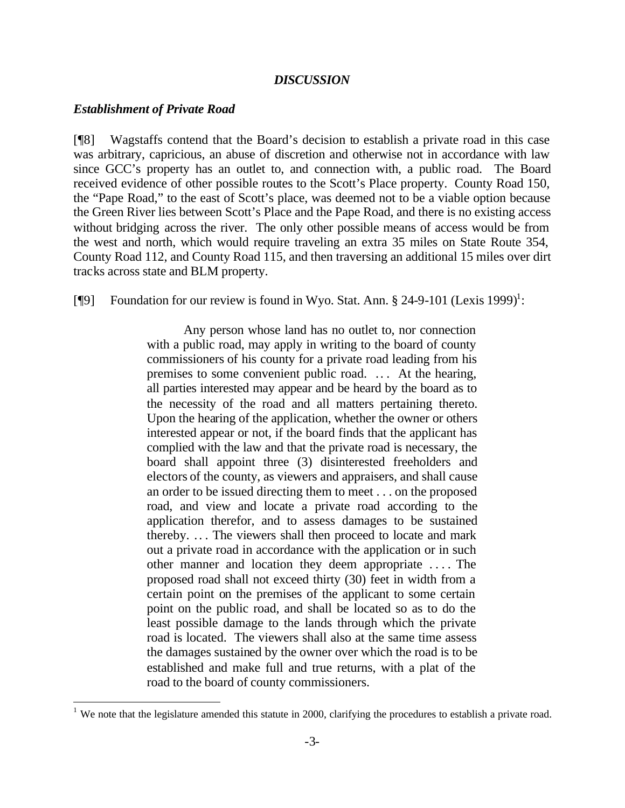#### *DISCUSSION*

#### *Establishment of Private Road*

l

[¶8] Wagstaffs contend that the Board's decision to establish a private road in this case was arbitrary, capricious, an abuse of discretion and otherwise not in accordance with law since GCC's property has an outlet to, and connection with, a public road. The Board received evidence of other possible routes to the Scott's Place property. County Road 150, the "Pape Road," to the east of Scott's place, was deemed not to be a viable option because the Green River lies between Scott's Place and the Pape Road, and there is no existing access without bridging across the river. The only other possible means of access would be from the west and north, which would require traveling an extra 35 miles on State Route 354, County Road 112, and County Road 115, and then traversing an additional 15 miles over dirt tracks across state and BLM property.

[ $\llbracket \phi \rrbracket$  Foundation for our review is found in Wyo. Stat. Ann. § 24-9-101 (Lexis 1999)<sup>1</sup>:

Any person whose land has no outlet to, nor connection with a public road, may apply in writing to the board of county commissioners of his county for a private road leading from his premises to some convenient public road. .. . At the hearing, all parties interested may appear and be heard by the board as to the necessity of the road and all matters pertaining thereto. Upon the hearing of the application, whether the owner or others interested appear or not, if the board finds that the applicant has complied with the law and that the private road is necessary, the board shall appoint three (3) disinterested freeholders and electors of the county, as viewers and appraisers, and shall cause an order to be issued directing them to meet . . . on the proposed road, and view and locate a private road according to the application therefor, and to assess damages to be sustained thereby. .. . The viewers shall then proceed to locate and mark out a private road in accordance with the application or in such other manner and location they deem appropriate . . . . The proposed road shall not exceed thirty (30) feet in width from a certain point on the premises of the applicant to some certain point on the public road, and shall be located so as to do the least possible damage to the lands through which the private road is located. The viewers shall also at the same time assess the damages sustained by the owner over which the road is to be established and make full and true returns, with a plat of the road to the board of county commissioners.

<sup>&</sup>lt;sup>1</sup> We note that the legislature amended this statute in 2000, clarifying the procedures to establish a private road.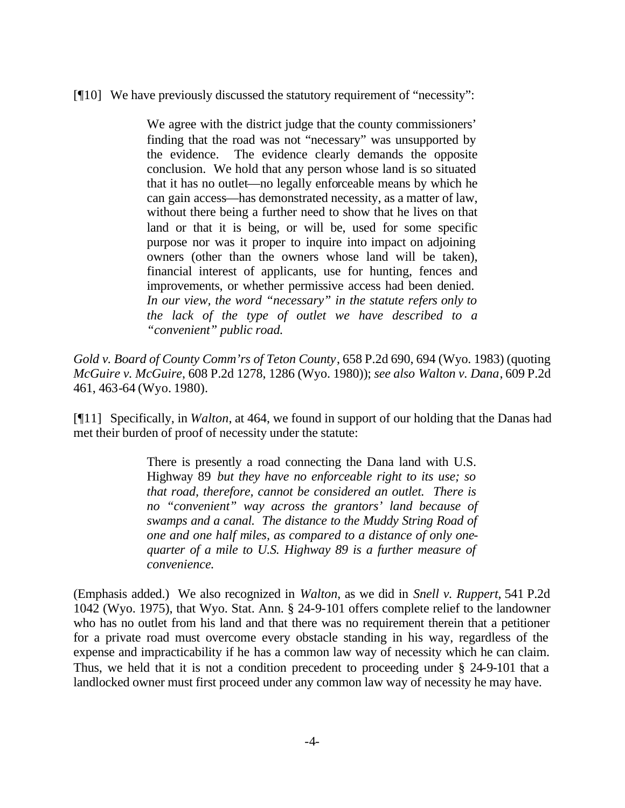# [¶10] We have previously discussed the statutory requirement of "necessity":

We agree with the district judge that the county commissioners' finding that the road was not "necessary" was unsupported by the evidence. The evidence clearly demands the opposite conclusion. We hold that any person whose land is so situated that it has no outlet—no legally enforceable means by which he can gain access—has demonstrated necessity, as a matter of law, without there being a further need to show that he lives on that land or that it is being, or will be, used for some specific purpose nor was it proper to inquire into impact on adjoining owners (other than the owners whose land will be taken), financial interest of applicants, use for hunting, fences and improvements, or whether permissive access had been denied. *In our view, the word "necessary" in the statute refers only to the lack of the type of outlet we have described to a "convenient" public road.*

*Gold v. Board of County Comm'rs of Teton County*, 658 P.2d 690, 694 (Wyo. 1983) (quoting *McGuire v. McGuire*, 608 P.2d 1278, 1286 (Wyo. 1980)); *see also Walton v. Dana*, 609 P.2d 461, 463-64 (Wyo. 1980).

[¶11] Specifically, in *Walton*, at 464, we found in support of our holding that the Danas had met their burden of proof of necessity under the statute:

> There is presently a road connecting the Dana land with U.S. Highway 89 *but they have no enforceable right to its use; so that road, therefore, cannot be considered an outlet. There is no "convenient" way across the grantors' land because of swamps and a canal. The distance to the Muddy String Road of one and one half miles, as compared to a distance of only onequarter of a mile to U.S. Highway 89 is a further measure of convenience.*

(Emphasis added.) We also recognized in *Walton*, as we did in *Snell v. Ruppert*, 541 P.2d 1042 (Wyo. 1975), that Wyo. Stat. Ann. § 24-9-101 offers complete relief to the landowner who has no outlet from his land and that there was no requirement therein that a petitioner for a private road must overcome every obstacle standing in his way, regardless of the expense and impracticability if he has a common law way of necessity which he can claim. Thus, we held that it is not a condition precedent to proceeding under § 24-9-101 that a landlocked owner must first proceed under any common law way of necessity he may have.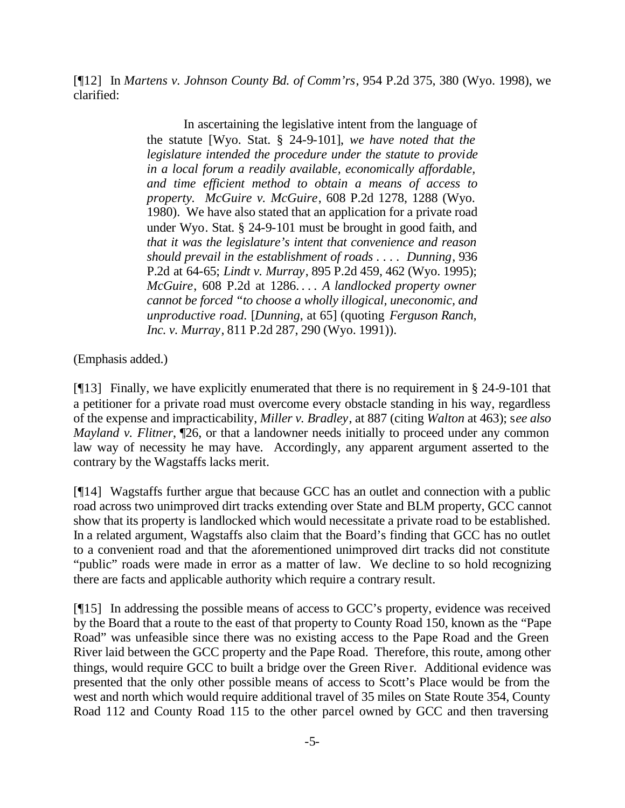[¶12] In *Martens v. Johnson County Bd. of Comm'rs*, 954 P.2d 375, 380 (Wyo. 1998), we clarified:

> In ascertaining the legislative intent from the language of the statute [Wyo. Stat. § 24-9-101], *we have noted that the legislature intended the procedure under the statute to provide in a local forum a readily available, economically affordable, and time efficient method to obtain a means of access to property. McGuire v. McGuire*, 608 P.2d 1278, 1288 (Wyo. 1980). We have also stated that an application for a private road under Wyo. Stat. § 24-9-101 must be brought in good faith, and *that it was the legislature's intent that convenience and reason should prevail in the establishment of roads . . . . Dunning*, 936 P.2d at 64-65; *Lindt v. Murray*, 895 P.2d 459, 462 (Wyo. 1995); *McGuire*, 608 P.2d at 1286. . . . *A landlocked property owner cannot be forced "to choose a wholly illogical, uneconomic, and unproductive road.* [*Dunning*, at 65] (quoting *Ferguson Ranch, Inc. v. Murray*, 811 P.2d 287, 290 (Wyo. 1991)).

(Emphasis added.)

[¶13] Finally, we have explicitly enumerated that there is no requirement in § 24-9-101 that a petitioner for a private road must overcome every obstacle standing in his way, regardless of the expense and impracticability, *Miller v. Bradley*, at 887 (citing *Walton* at 463); s*ee also Mayland v. Flitner*,  $\mathbb{I}26$ , or that a landowner needs initially to proceed under any common law way of necessity he may have. Accordingly, any apparent argument asserted to the contrary by the Wagstaffs lacks merit.

[¶14] Wagstaffs further argue that because GCC has an outlet and connection with a public road across two unimproved dirt tracks extending over State and BLM property, GCC cannot show that its property is landlocked which would necessitate a private road to be established. In a related argument, Wagstaffs also claim that the Board's finding that GCC has no outlet to a convenient road and that the aforementioned unimproved dirt tracks did not constitute "public" roads were made in error as a matter of law. We decline to so hold recognizing there are facts and applicable authority which require a contrary result.

[¶15] In addressing the possible means of access to GCC's property, evidence was received by the Board that a route to the east of that property to County Road 150, known as the "Pape Road" was unfeasible since there was no existing access to the Pape Road and the Green River laid between the GCC property and the Pape Road. Therefore, this route, among other things, would require GCC to built a bridge over the Green River. Additional evidence was presented that the only other possible means of access to Scott's Place would be from the west and north which would require additional travel of 35 miles on State Route 354, County Road 112 and County Road 115 to the other parcel owned by GCC and then traversing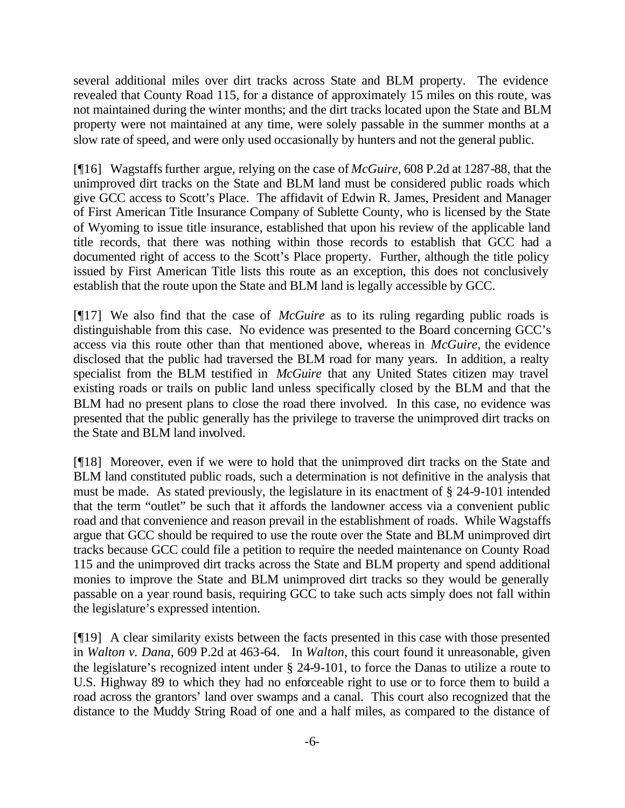several additional miles over dirt tracks across State and BLM property. The evidence revealed that County Road 115, for a distance of approximately 15 miles on this route, was not maintained during the winter months; and the dirt tracks located upon the State and BLM property were not maintained at any time, were solely passable in the summer months at a slow rate of speed, and were only used occasionally by hunters and not the general public.

[¶16] Wagstaffs further argue, relying on the case of *McGuire*, 608 P.2d at 1287-88, that the unimproved dirt tracks on the State and BLM land must be considered public roads which give GCC access to Scott's Place. The affidavit of Edwin R. James, President and Manager of First American Title Insurance Company of Sublette County, who is licensed by the State of Wyoming to issue title insurance, established that upon his review of the applicable land title records, that there was nothing within those records to establish that GCC had a documented right of access to the Scott's Place property. Further, although the title policy issued by First American Title lists this route as an exception, this does not conclusively establish that the route upon the State and BLM land is legally accessible by GCC.

[¶17] We also find that the case of *McGuire* as to its ruling regarding public roads is distinguishable from this case. No evidence was presented to the Board concerning GCC's access via this route other than that mentioned above, whereas in *McGuire*, the evidence disclosed that the public had traversed the BLM road for many years. In addition, a realty specialist from the BLM testified in *McGuire* that any United States citizen may travel existing roads or trails on public land unless specifically closed by the BLM and that the BLM had no present plans to close the road there involved. In this case, no evidence was presented that the public generally has the privilege to traverse the unimproved dirt tracks on the State and BLM land involved.

[¶18] Moreover, even if we were to hold that the unimproved dirt tracks on the State and BLM land constituted public roads, such a determination is not definitive in the analysis that must be made. As stated previously, the legislature in its enactment of § 24-9-101 intended that the term "outlet" be such that it affords the landowner access via a convenient public road and that convenience and reason prevail in the establishment of roads. While Wagstaffs argue that GCC should be required to use the route over the State and BLM unimproved dirt tracks because GCC could file a petition to require the needed maintenance on County Road 115 and the unimproved dirt tracks across the State and BLM property and spend additional monies to improve the State and BLM unimproved dirt tracks so they would be generally passable on a year round basis, requiring GCC to take such acts simply does not fall within the legislature's expressed intention.

[¶19] A clear similarity exists between the facts presented in this case with those presented in *Walton v. Dana*, 609 P.2d at 463-64*.* In *Walton*, this court found it unreasonable, given the legislature's recognized intent under § 24-9-101, to force the Danas to utilize a route to U.S. Highway 89 to which they had no enforceable right to use or to force them to build a road across the grantors' land over swamps and a canal. This court also recognized that the distance to the Muddy String Road of one and a half miles, as compared to the distance of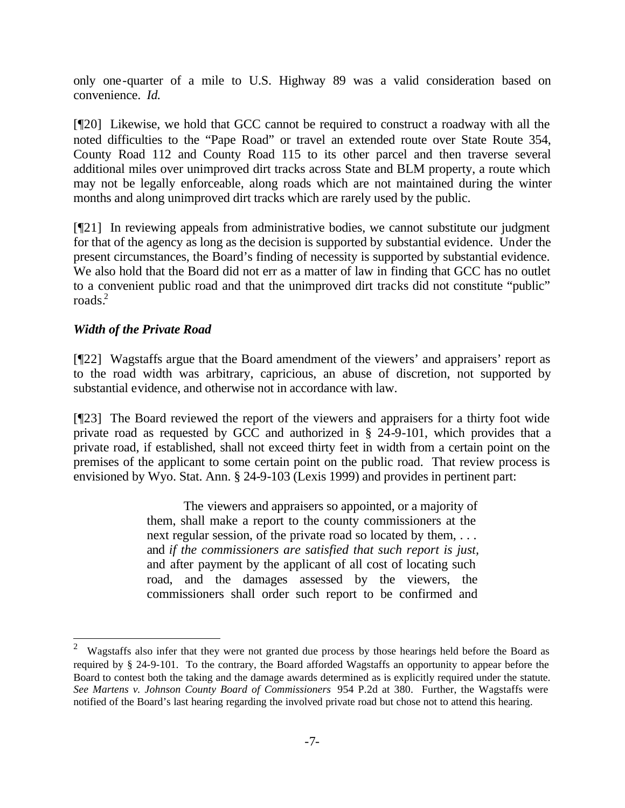only one-quarter of a mile to U.S. Highway 89 was a valid consideration based on convenience. *Id.* 

[¶20] Likewise, we hold that GCC cannot be required to construct a roadway with all the noted difficulties to the "Pape Road" or travel an extended route over State Route 354, County Road 112 and County Road 115 to its other parcel and then traverse several additional miles over unimproved dirt tracks across State and BLM property, a route which may not be legally enforceable, along roads which are not maintained during the winter months and along unimproved dirt tracks which are rarely used by the public.

[¶21] In reviewing appeals from administrative bodies, we cannot substitute our judgment for that of the agency as long as the decision is supported by substantial evidence. Under the present circumstances, the Board's finding of necessity is supported by substantial evidence. We also hold that the Board did not err as a matter of law in finding that GCC has no outlet to a convenient public road and that the unimproved dirt tracks did not constitute "public" roads. $2$ 

# *Width of the Private Road*

l

[¶22] Wagstaffs argue that the Board amendment of the viewers' and appraisers' report as to the road width was arbitrary, capricious, an abuse of discretion, not supported by substantial evidence, and otherwise not in accordance with law.

[¶23] The Board reviewed the report of the viewers and appraisers for a thirty foot wide private road as requested by GCC and authorized in § 24-9-101, which provides that a private road, if established, shall not exceed thirty feet in width from a certain point on the premises of the applicant to some certain point on the public road. That review process is envisioned by Wyo. Stat. Ann. § 24-9-103 (Lexis 1999) and provides in pertinent part:

> The viewers and appraisers so appointed, or a majority of them, shall make a report to the county commissioners at the next regular session, of the private road so located by them, ... and *if the commissioners are satisfied that such report is just,* and after payment by the applicant of all cost of locating such road, and the damages assessed by the viewers, the commissioners shall order such report to be confirmed and

 $2$  Wagstaffs also infer that they were not granted due process by those hearings held before the Board as required by § 24-9-101. To the contrary, the Board afforded Wagstaffs an opportunity to appear before the Board to contest both the taking and the damage awards determined as is explicitly required under the statute. *See Martens v. Johnson County Board of Commissioners* 954 P.2d at 380. Further, the Wagstaffs were notified of the Board's last hearing regarding the involved private road but chose not to attend this hearing.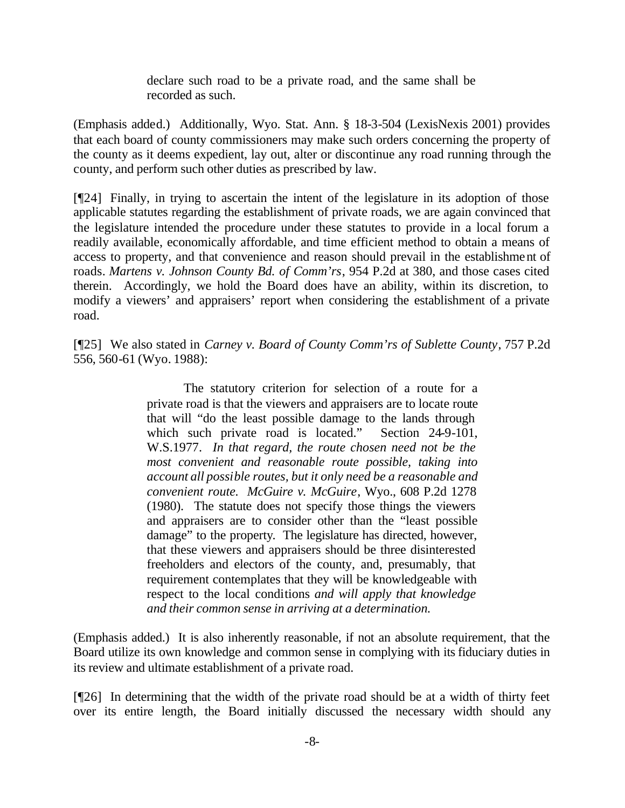declare such road to be a private road, and the same shall be recorded as such.

(Emphasis added.) Additionally, Wyo. Stat. Ann. § 18-3-504 (LexisNexis 2001) provides that each board of county commissioners may make such orders concerning the property of the county as it deems expedient, lay out, alter or discontinue any road running through the county, and perform such other duties as prescribed by law.

[¶24] Finally, in trying to ascertain the intent of the legislature in its adoption of those applicable statutes regarding the establishment of private roads, we are again convinced that the legislature intended the procedure under these statutes to provide in a local forum a readily available, economically affordable, and time efficient method to obtain a means of access to property, and that convenience and reason should prevail in the establishment of roads. *Martens v. Johnson County Bd. of Comm'rs*, 954 P.2d at 380, and those cases cited therein. Accordingly, we hold the Board does have an ability, within its discretion, to modify a viewers' and appraisers' report when considering the establishment of a private road.

[¶25] We also stated in *Carney v. Board of County Comm'rs of Sublette County*, 757 P.2d 556, 560-61 (Wyo. 1988):

> The statutory criterion for selection of a route for a private road is that the viewers and appraisers are to locate route that will "do the least possible damage to the lands through which such private road is located." Section 24-9-101, W.S.1977. *In that regard, the route chosen need not be the most convenient and reasonable route possible, taking into account all possible routes, but it only need be a reasonable and convenient route. McGuire v. McGuire*, Wyo., 608 P.2d 1278 (1980). The statute does not specify those things the viewers and appraisers are to consider other than the "least possible damage" to the property. The legislature has directed, however, that these viewers and appraisers should be three disinterested freeholders and electors of the county, and, presumably, that requirement contemplates that they will be knowledgeable with respect to the local conditions *and will apply that knowledge and their common sense in arriving at a determination.*

(Emphasis added.) It is also inherently reasonable, if not an absolute requirement, that the Board utilize its own knowledge and common sense in complying with its fiduciary duties in its review and ultimate establishment of a private road.

[¶26] In determining that the width of the private road should be at a width of thirty feet over its entire length, the Board initially discussed the necessary width should any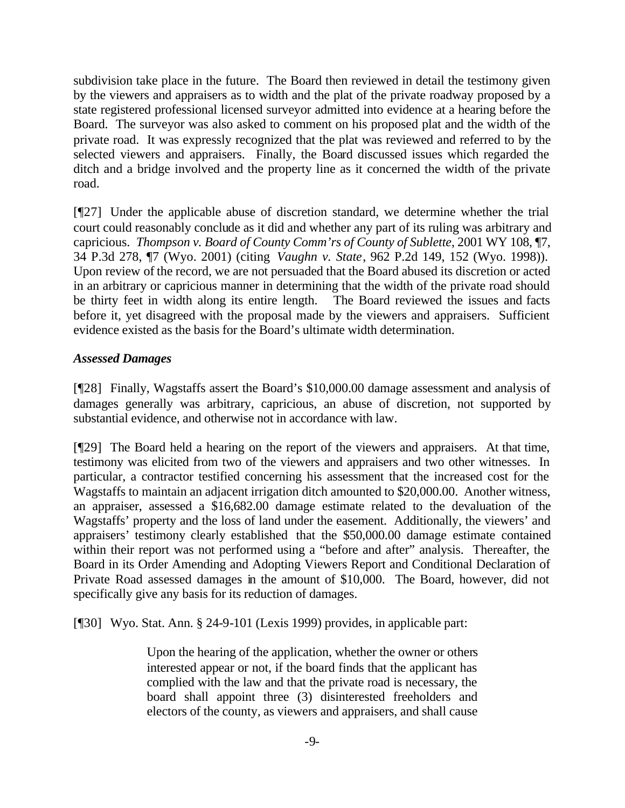subdivision take place in the future. The Board then reviewed in detail the testimony given by the viewers and appraisers as to width and the plat of the private roadway proposed by a state registered professional licensed surveyor admitted into evidence at a hearing before the Board. The surveyor was also asked to comment on his proposed plat and the width of the private road. It was expressly recognized that the plat was reviewed and referred to by the selected viewers and appraisers. Finally, the Board discussed issues which regarded the ditch and a bridge involved and the property line as it concerned the width of the private road.

[¶27] Under the applicable abuse of discretion standard, we determine whether the trial court could reasonably conclude as it did and whether any part of its ruling was arbitrary and capricious. *Thompson v. Board of County Comm'rs of County of Sublette*, 2001 WY 108, ¶7, 34 P.3d 278, ¶7 (Wyo. 2001) (citing *Vaughn v. State*, 962 P.2d 149, 152 (Wyo. 1998)). Upon review of the record, we are not persuaded that the Board abused its discretion or acted in an arbitrary or capricious manner in determining that the width of the private road should be thirty feet in width along its entire length. The Board reviewed the issues and facts before it, yet disagreed with the proposal made by the viewers and appraisers. Sufficient evidence existed as the basis for the Board's ultimate width determination.

# *Assessed Damages*

[¶28] Finally, Wagstaffs assert the Board's \$10,000.00 damage assessment and analysis of damages generally was arbitrary, capricious, an abuse of discretion, not supported by substantial evidence, and otherwise not in accordance with law.

[¶29] The Board held a hearing on the report of the viewers and appraisers. At that time, testimony was elicited from two of the viewers and appraisers and two other witnesses. In particular, a contractor testified concerning his assessment that the increased cost for the Wagstaffs to maintain an adjacent irrigation ditch amounted to \$20,000.00. Another witness, an appraiser, assessed a \$16,682.00 damage estimate related to the devaluation of the Wagstaffs' property and the loss of land under the easement. Additionally, the viewers' and appraisers' testimony clearly established that the \$50,000.00 damage estimate contained within their report was not performed using a "before and after" analysis. Thereafter, the Board in its Order Amending and Adopting Viewers Report and Conditional Declaration of Private Road assessed damages in the amount of \$10,000. The Board, however, did not specifically give any basis for its reduction of damages.

[¶30] Wyo. Stat. Ann. § 24-9-101 (Lexis 1999) provides, in applicable part:

Upon the hearing of the application, whether the owner or others interested appear or not, if the board finds that the applicant has complied with the law and that the private road is necessary, the board shall appoint three (3) disinterested freeholders and electors of the county, as viewers and appraisers, and shall cause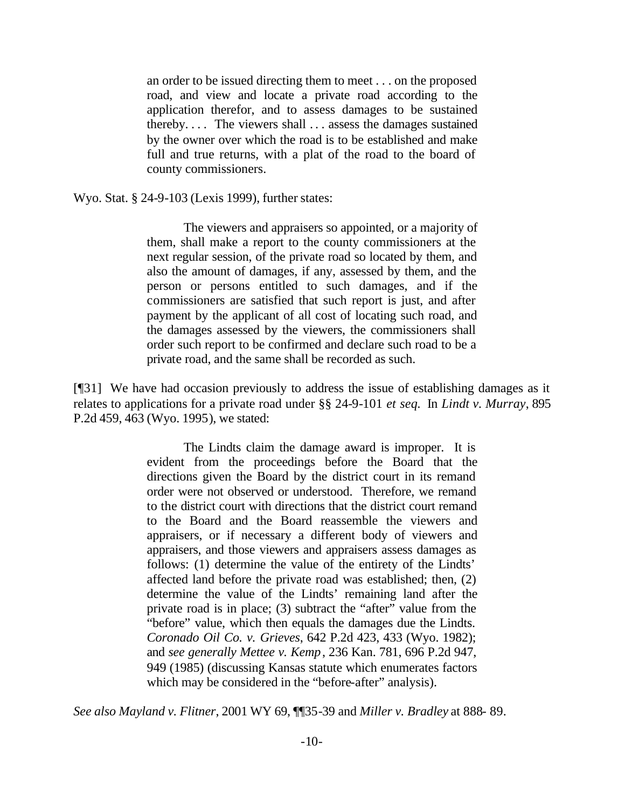an order to be issued directing them to meet . . . on the proposed road, and view and locate a private road according to the application therefor, and to assess damages to be sustained thereby. . . . The viewers shall . . . assess the damages sustained by the owner over which the road is to be established and make full and true returns, with a plat of the road to the board of county commissioners.

Wyo. Stat. § 24-9-103 (Lexis 1999), further states:

The viewers and appraisers so appointed, or a majority of them, shall make a report to the county commissioners at the next regular session, of the private road so located by them, and also the amount of damages, if any, assessed by them, and the person or persons entitled to such damages, and if the commissioners are satisfied that such report is just, and after payment by the applicant of all cost of locating such road, and the damages assessed by the viewers, the commissioners shall order such report to be confirmed and declare such road to be a private road, and the same shall be recorded as such.

[¶31] We have had occasion previously to address the issue of establishing damages as it relates to applications for a private road under §§ 24-9-101 *et seq.* In *Lindt v. Murray*, 895 P.2d 459, 463 (Wyo. 1995), we stated:

> The Lindts claim the damage award is improper. It is evident from the proceedings before the Board that the directions given the Board by the district court in its remand order were not observed or understood. Therefore, we remand to the district court with directions that the district court remand to the Board and the Board reassemble the viewers and appraisers, or if necessary a different body of viewers and appraisers, and those viewers and appraisers assess damages as follows: (1) determine the value of the entirety of the Lindts' affected land before the private road was established; then, (2) determine the value of the Lindts' remaining land after the private road is in place; (3) subtract the "after" value from the "before" value, which then equals the damages due the Lindts. *Coronado Oil Co. v. Grieves*, 642 P.2d 423, 433 (Wyo. 1982); and *see generally Mettee v. Kemp*, 236 Kan. 781, 696 P.2d 947, 949 (1985) (discussing Kansas statute which enumerates factors which may be considered in the "before-after" analysis).

*See also Mayland v. Flitner*, 2001 WY 69, ¶¶35-39 and *Miller v. Bradley* at 888- 89.